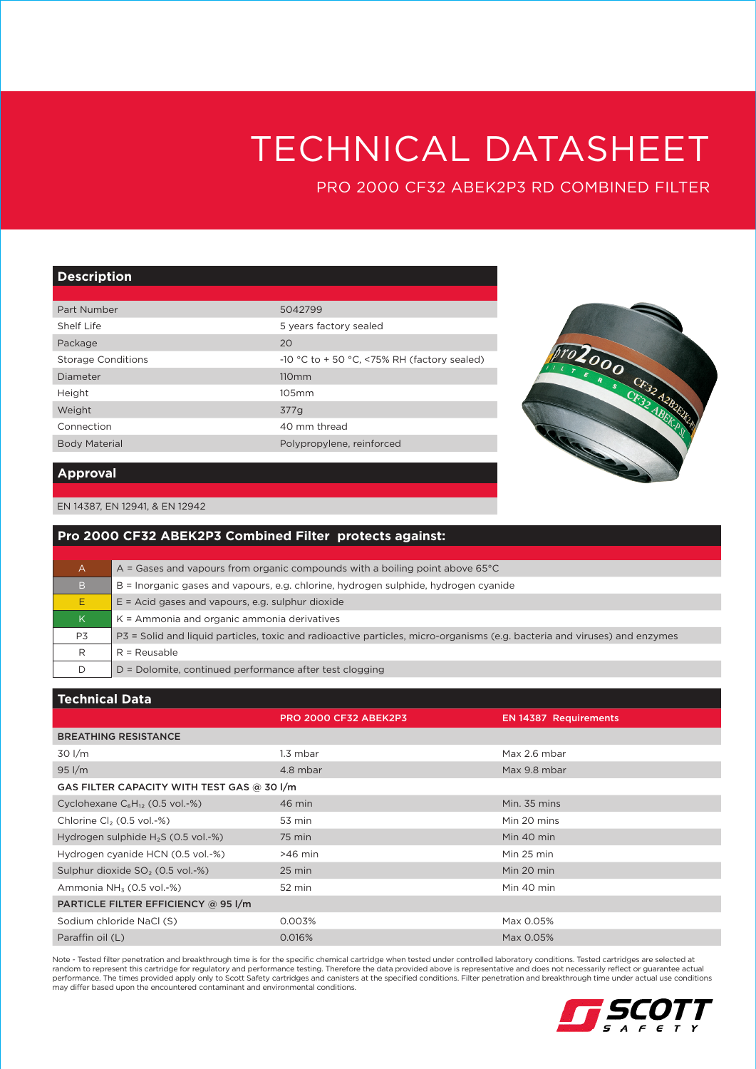# TECHNICAL DATASHEET

PRO 2000 CF32 ABEK2P3 RD COMBINED FILTER

## **Description**

| Part Number               | 5042799                                     |
|---------------------------|---------------------------------------------|
| Shelf Life                | 5 years factory sealed                      |
| Package                   | 20                                          |
| <b>Storage Conditions</b> | -10 °C to + 50 °C, <75% RH (factory sealed) |
| Diameter                  | 110mm                                       |
| Height                    | 105mm                                       |
| Weight                    | 377g                                        |
| Connection                | 40 mm thread                                |
| <b>Body Material</b>      | Polypropylene, reinforced                   |
|                           |                                             |



### **Approval**

#### EN 14387, EN 12941, & EN 12942

| <b>Pro 2000 CF32 ABEK2P3 Combined Filter protects against:</b> |                                                                                                                           |  |  |
|----------------------------------------------------------------|---------------------------------------------------------------------------------------------------------------------------|--|--|
|                                                                |                                                                                                                           |  |  |
| A                                                              | A = Gases and vapours from organic compounds with a boiling point above $65^{\circ}$ C                                    |  |  |
| $\overline{B}$                                                 | B = Inorganic gases and vapours, e.g. chlorine, hydrogen sulphide, hydrogen cyanide                                       |  |  |
| E                                                              | $E =$ Acid gases and vapours, e.g. sulphur dioxide                                                                        |  |  |
| K                                                              | $K =$ Ammonia and organic ammonia derivatives                                                                             |  |  |
| P3                                                             | P3 = Solid and liquid particles, toxic and radioactive particles, micro-organisms (e.g. bacteria and viruses) and enzymes |  |  |
| R                                                              | $R =$ Reusable                                                                                                            |  |  |
| D                                                              | $D =$ Dolomite, continued performance after test clogging                                                                 |  |  |

## **Technical Data**

|                                              | <b>PRO 2000 CF32 ABEK2P3</b> | <b>EN 14387 Requirements</b> |  |  |  |
|----------------------------------------------|------------------------------|------------------------------|--|--|--|
| <b>BREATHING RESISTANCE</b>                  |                              |                              |  |  |  |
| 30 I/m                                       | 1.3 mbar                     | Max 2.6 mbar                 |  |  |  |
| $95$ I/m                                     | 4.8 mbar                     | Max 9.8 mbar                 |  |  |  |
| GAS FILTER CAPACITY WITH TEST GAS @ 30 I/m   |                              |                              |  |  |  |
| Cyclohexane $C_6H_{12}$ (0.5 vol.-%)         | 46 min                       | Min. 35 mins                 |  |  |  |
| Chlorine Cl <sub>2</sub> (0.5 vol.-%)        | 53 min                       | Min 20 mins                  |  |  |  |
| Hydrogen sulphide $H_2S$ (0.5 vol.-%)        | 75 min                       | Min 40 min                   |  |  |  |
| Hydrogen cyanide HCN (0.5 vol.-%)            | $>46$ min                    | Min 25 min                   |  |  |  |
| Sulphur dioxide SO <sub>2</sub> (0.5 vol.-%) | $25 \text{ min}$             | Min 20 min                   |  |  |  |
| Ammonia $NH_3$ (0.5 vol.-%)                  | 52 min                       | Min 40 min                   |  |  |  |
| PARTICLE FILTER EFFICIENCY @ 95 I/m          |                              |                              |  |  |  |
| Sodium chloride NaCl (S)                     | 0.003%                       | Max 0.05%                    |  |  |  |
| Paraffin oil (L)                             | 0.016%                       | Max 0.05%                    |  |  |  |

Note - Tested filter penetration and breakthrough time is for the specific chemical cartridge when tested under controlled laboratory conditions. Tested cartridges are selected at<br>performance. The times cartridge for regul